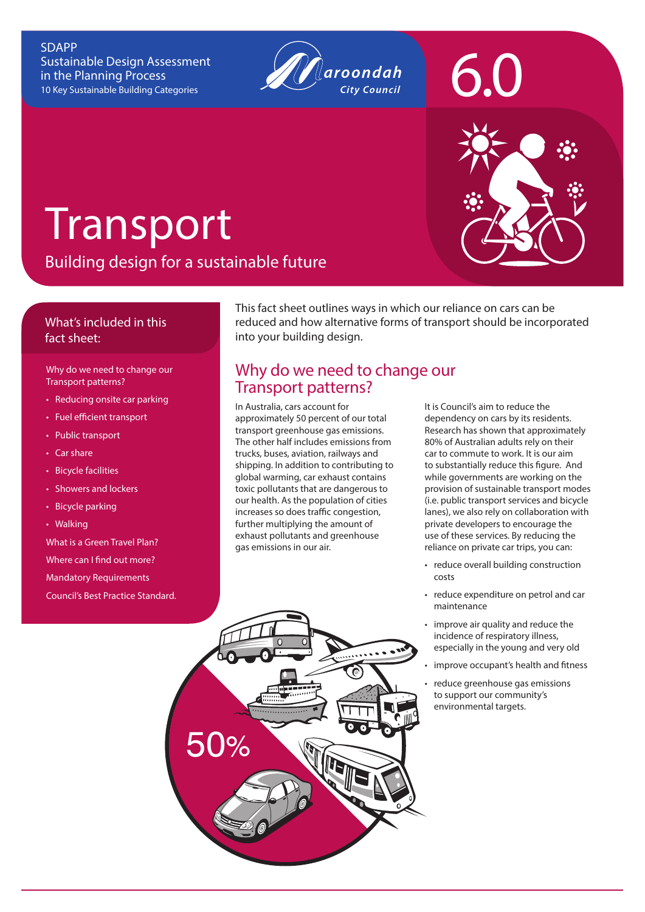#### SDAPP Sustainable Design Assessment in the Planning Process 10 Key Sustainable Building Categories



# **Transport**

Building design for a sustainable future

#### What's included in this fact sheet:

Why do we need to change our Transport patterns?

- Reducing onsite car parking
- Fuel efficient transport
- Public transport
- Car share
- Bicycle facilities
- Showers and lockers
- Bicycle parking
- Walking

What is a Green Travel Plan? Where can I find out more? Mandatory Requirements Council's Best Practice Standard.

This fact sheet outlines ways in which our reliance on cars can be reduced and how alternative forms of transport should be incorporated into your building design.

## Why do we need to change our Transport patterns?

In Australia, cars account for approximately 50 percent of our total transport greenhouse gas emissions. The other half includes emissions from trucks, buses, aviation, railways and shipping. In addition to contributing to global warming, car exhaust contains toxic pollutants that are dangerous to our health. As the population of cities increases so does traffic congestion, further multiplying the amount of exhaust pollutants and greenhouse gas emissions in our air.

It is Council's aim to reduce the dependency on cars by its residents. Research has shown that approximately 80% of Australian adults rely on their car to commute to work. It is our aim to substantially reduce this figure. And while governments are working on the provision of sustainable transport modes (i.e. public transport services and bicycle lanes), we also rely on collaboration with private developers to encourage the use of these services. By reducing the reliance on private car trips, you can:

- reduce overall building construction costs
- reduce expenditure on petrol and car maintenance
- improve air quality and reduce the incidence of respiratory illness, especially in the young and very old
- improve occupant's health and fitness
- reduce greenhouse gas emissions to support our community's environmental targets.





6.0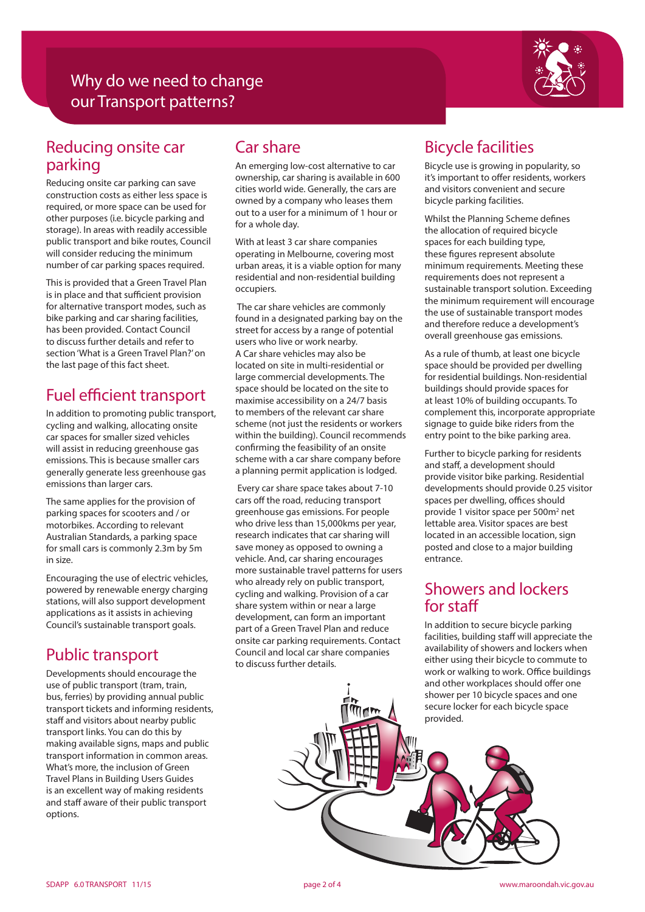# Why do we need to change our Transport patterns?



## Reducing onsite car parking

Reducing onsite car parking can save construction costs as either less space is required, or more space can be used for other purposes (i.e. bicycle parking and storage). In areas with readily accessible public transport and bike routes, Council will consider reducing the minimum number of car parking spaces required.

This is provided that a Green Travel Plan is in place and that sufficient provision for alternative transport modes, such as bike parking and car sharing facilities, has been provided. Contact Council to discuss further details and refer to section 'What is a Green Travel Plan?' on the last page of this fact sheet.

## Fuel efficient transport

In addition to promoting public transport, cycling and walking, allocating onsite car spaces for smaller sized vehicles will assist in reducing greenhouse gas emissions. This is because smaller cars generally generate less greenhouse gas emissions than larger cars.

The same applies for the provision of parking spaces for scooters and / or motorbikes. According to relevant Australian Standards, a parking space for small cars is commonly 2.3m by 5m in size.

Encouraging the use of electric vehicles, powered by renewable energy charging stations, will also support development applications as it assists in achieving Council's sustainable transport goals.

# Public transport

Developments should encourage the use of public transport (tram, train, bus, ferries) by providing annual public transport tickets and informing residents, staff and visitors about nearby public transport links. You can do this by making available signs, maps and public transport information in common areas. What's more, the inclusion of Green Travel Plans in Building Users Guides is an excellent way of making residents and staff aware of their public transport options.

# Car share

An emerging low-cost alternative to car ownership, car sharing is available in 600 cities world wide. Generally, the cars are owned by a company who leases them out to a user for a minimum of 1 hour or for a whole day.

With at least 3 car share companies operating in Melbourne, covering most urban areas, it is a viable option for many residential and non-residential building occupiers.

 The car share vehicles are commonly found in a designated parking bay on the street for access by a range of potential users who live or work nearby. A Car share vehicles may also be located on site in multi-residential or large commercial developments. The space should be located on the site to maximise accessibility on a 24/7 basis to members of the relevant car share scheme (not just the residents or workers within the building). Council recommends confirming the feasibility of an onsite scheme with a car share company before a planning permit application is lodged.

 Every car share space takes about 7-10 cars off the road, reducing transport greenhouse gas emissions. For people who drive less than 15,000kms per year, research indicates that car sharing will save money as opposed to owning a vehicle. And, car sharing encourages more sustainable travel patterns for users who already rely on public transport, cycling and walking. Provision of a car share system within or near a large development, can form an important part of a Green Travel Plan and reduce onsite car parking requirements. Contact Council and local car share companies to discuss further details.

# Bicycle facilities

Bicycle use is growing in popularity, so it's important to offer residents, workers and visitors convenient and secure bicycle parking facilities.

Whilst the Planning Scheme defines the allocation of required bicycle spaces for each building type, these figures represent absolute minimum requirements. Meeting these requirements does not represent a sustainable transport solution. Exceeding the minimum requirement will encourage the use of sustainable transport modes and therefore reduce a development's overall greenhouse gas emissions.

As a rule of thumb, at least one bicycle space should be provided per dwelling for residential buildings. Non-residential buildings should provide spaces for at least 10% of building occupants. To complement this, incorporate appropriate signage to guide bike riders from the entry point to the bike parking area.

Further to bicycle parking for residents and staff, a development should provide visitor bike parking. Residential developments should provide 0.25 visitor spaces per dwelling, offices should provide 1 visitor space per 500m<sup>2</sup> net lettable area. Visitor spaces are best located in an accessible location, sign posted and close to a major building entrance.

## Showers and lockers for staff

In addition to secure bicycle parking facilities, building staff will appreciate the availability of showers and lockers when either using their bicycle to commute to work or walking to work. Office buildings and other workplaces should offer one shower per 10 bicycle spaces and one secure locker for each bicycle space

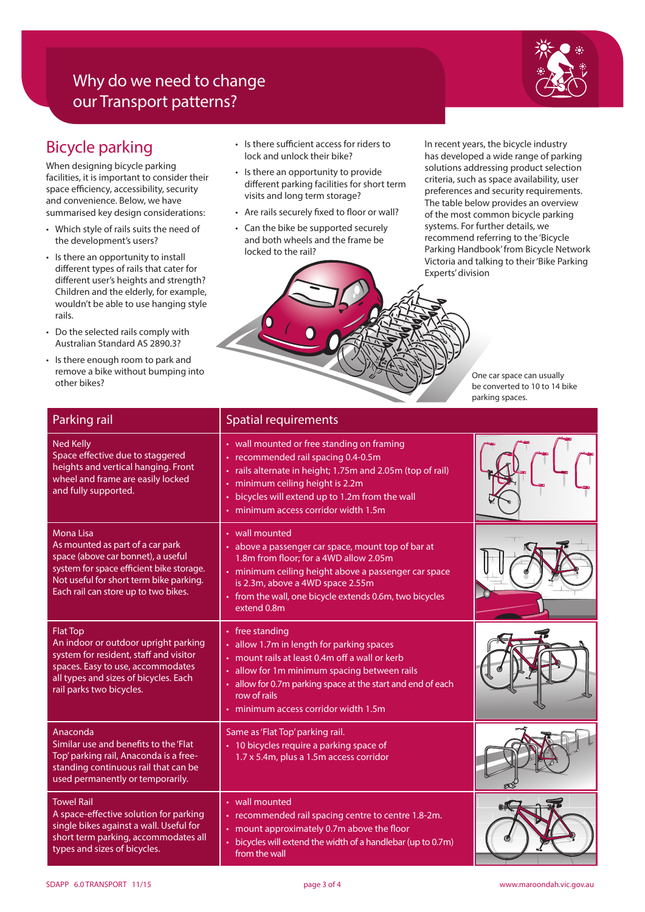# Why do we need to change our Transport patterns?



# Bicycle parking

When designing bicycle parking facilities, it is important to consider their space efficiency, accessibility, security and convenience. Below, we have summarised key design considerations:

- Which style of rails suits the need of the development's users?
- Is there an opportunity to install different types of rails that cater for different user's heights and strength? Children and the elderly, for example, wouldn't be able to use hanging style rails.
- Do the selected rails comply with Australian Standard AS 2890.3?
- Is there enough room to park and remove a bike without bumping into other bikes?
- Is there sufficient access for riders to lock and unlock their bike?
- Is there an opportunity to provide different parking facilities for short term visits and long term storage?
- Are rails securely fixed to floor or wall?
- Can the bike be supported securely and both wheels and the frame be locked to the rail?

In recent years, the bicycle industry has developed a wide range of parking solutions addressing product selection criteria, such as space availability, user preferences and security requirements. The table below provides an overview of the most common bicycle parking systems. For further details, we recommend referring to the 'Bicycle Parking Handbook' from Bicycle Network Victoria and talking to their 'Bike Parking Experts' division

> One car space can usually be converted to 10 to 14 bike parking spaces.

| Parking rail                                                                                                                                                                                                              | <b>Spatial requirements</b>                                                                                                                                                                                                                                                            |  |
|---------------------------------------------------------------------------------------------------------------------------------------------------------------------------------------------------------------------------|----------------------------------------------------------------------------------------------------------------------------------------------------------------------------------------------------------------------------------------------------------------------------------------|--|
| <b>Ned Kelly</b><br>Space effective due to staggered<br>heights and vertical hanging. Front<br>wheel and frame are easily locked<br>and fully supported.                                                                  | • wall mounted or free standing on framing<br>• recommended rail spacing 0.4-0.5m<br>· rails alternate in height; 1.75m and 2.05m (top of rail)<br>minimum ceiling height is 2.2m<br>bicycles will extend up to 1.2m from the wall<br>· minimum access corridor width 1.5m             |  |
| <b>Mona Lisa</b><br>As mounted as part of a car park<br>space (above car bonnet), a useful<br>system for space efficient bike storage.<br>Not useful for short term bike parking.<br>Each rail can store up to two bikes. | • wall mounted<br>• above a passenger car space, mount top of bar at<br>1.8m from floor: for a 4WD allow 2.05m<br>• minimum ceiling height above a passenger car space<br>is 2.3m, above a 4WD space 2.55m<br>• from the wall, one bicycle extends 0.6m, two bicycles<br>extend 0.8m   |  |
| <b>Flat Top</b><br>An indoor or outdoor upright parking<br>system for resident, staff and visitor<br>spaces. Easy to use, accommodates<br>all types and sizes of bicycles. Each<br>rail parks two bicycles.               | • free standing<br>• allow 1.7m in length for parking spaces<br>• mount rails at least 0.4m off a wall or kerb<br>allow for 1m minimum spacing between rails<br>۰<br>allow for 0.7m parking space at the start and end of each<br>row of rails<br>· minimum access corridor width 1.5m |  |
| Anaconda<br>Similar use and benefits to the 'Flat<br>Top' parking rail, Anaconda is a free-<br>standing continuous rail that can be<br>used permanently or temporarily.                                                   | Same as 'Flat Top' parking rail.<br>• 10 bicycles require a parking space of<br>1.7 x 5.4m, plus a 1.5m access corridor                                                                                                                                                                |  |
| <b>Towel Rail</b><br>A space-effective solution for parking<br>single bikes against a wall. Useful for<br>short term parking, accommodates all<br>types and sizes of bicycles.                                            | • wall mounted<br>• recommended rail spacing centre to centre 1.8-2m.<br>• mount approximately 0.7m above the floor<br>bicycles will extend the width of a handlebar (up to 0.7m)<br>ò.<br>from the wall                                                                               |  |